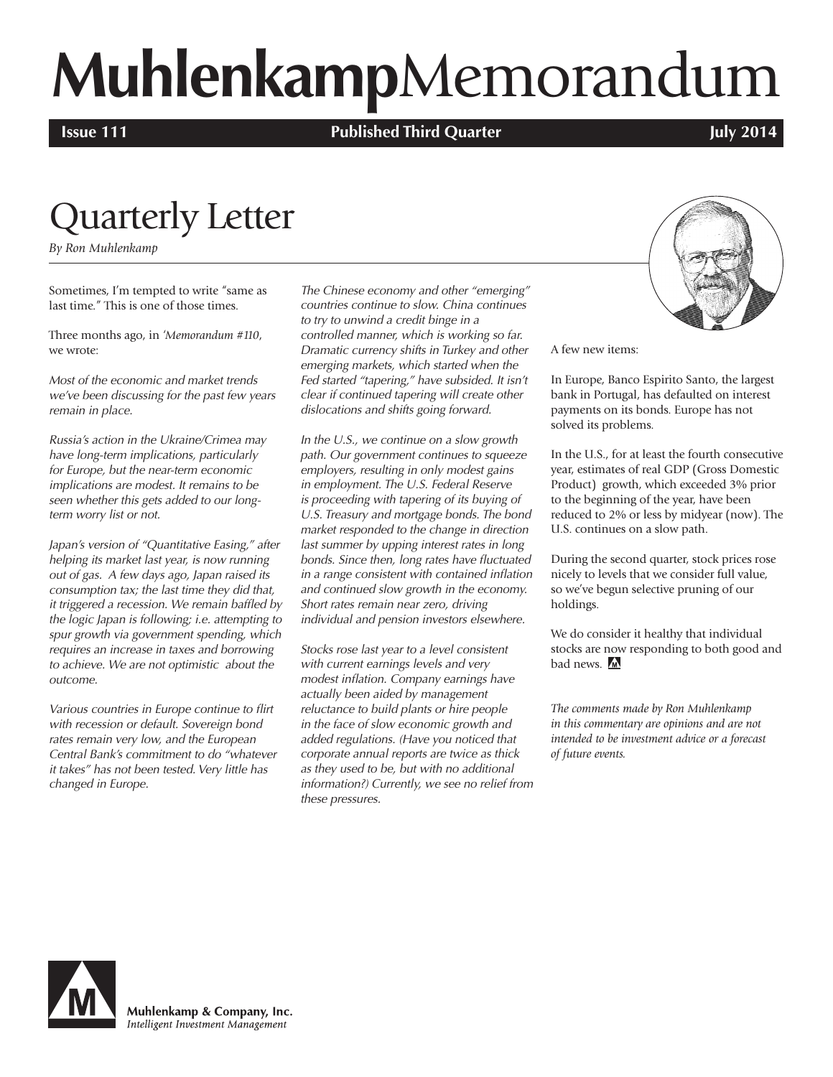# **Muhlenkamp**Memorandum

**Issue 111 In the U.S. Issue 111 Published Third Quarter** *July 2014* 

## Quarterly Letter

*By Ron Muhlenkamp*

Sometimes, I'm tempted to write "same as last time." This is one of those times.

Three months ago, in *'Memorandum #110*, we wrote:

*Most of the economic and market trends we've been discussing for the past few years remain in place.* 

*Russia's action in the Ukraine/Crimea may have long-term implications, particularly for Europe, but the near-term economic implications are modest. It remains to be seen whether this gets added to our longterm worry list or not.*

*Japan's version of "Quantitative Easing," after helping its market last year, is now running out of gas. A few days ago, Japan raised its consumption tax; the last time they did that, it triggered a recession. We remain baffled by the logic Japan is following; i.e. attempting to spur growth via government spending, which requires an increase in taxes and borrowing to achieve. We are not optimistic about the outcome.*

*Various countries in Europe continue to flirt with recession or default. Sovereign bond rates remain very low, and the European Central Bank's commitment to do "whatever it takes" has not been tested. Very little has changed in Europe.*

*The Chinese economy and other "emerging" countries continue to slow. China continues to try to unwind a credit binge in a controlled manner, which is working so far. Dramatic currency shifts in Turkey and other emerging markets, which started when the Fed started "tapering," have subsided. It isn't clear if continued tapering will create other dislocations and shifts going forward.*

*In the U.S., we continue on a slow growth path. Our government continues to squeeze employers, resulting in only modest gains in employment. The U.S. Federal Reserve is proceeding with tapering of its buying of U.S. Treasury and mortgage bonds. The bond market responded to the change in direction last summer by upping interest rates in long bonds. Since then, long rates have fluctuated in a range consistent with contained inflation and continued slow growth in the economy. Short rates remain near zero, driving individual and pension investors elsewhere.*

*Stocks rose last year to a level consistent with current earnings levels and very modest inflation. Company earnings have actually been aided by management reluctance to build plants or hire people in the face of slow economic growth and added regulations. (Have you noticed that corporate annual reports are twice as thick as they used to be, but with no additional information?) Currently, we see no relief from these pressures.* 



A few new items:

In Europe, Banco Espirito Santo, the largest bank in Portugal, has defaulted on interest payments on its bonds. Europe has not solved its problems.

In the U.S., for at least the fourth consecutive year, estimates of real GDP (Gross Domestic Product) growth, which exceeded 3% prior to the beginning of the year, have been reduced to 2% or less by midyear (now). The U.S. continues on a slow path.

During the second quarter, stock prices rose nicely to levels that we consider full value, so we've begun selective pruning of our holdings.

We do consider it healthy that individual stocks are now responding to both good and bad news. M

*The comments made by Ron Muhlenkamp in this commentary are opinions and are not intended to be investment advice or a forecast of future events.*



Muhlenkamp & Company, Inc. Intelligent Investment Management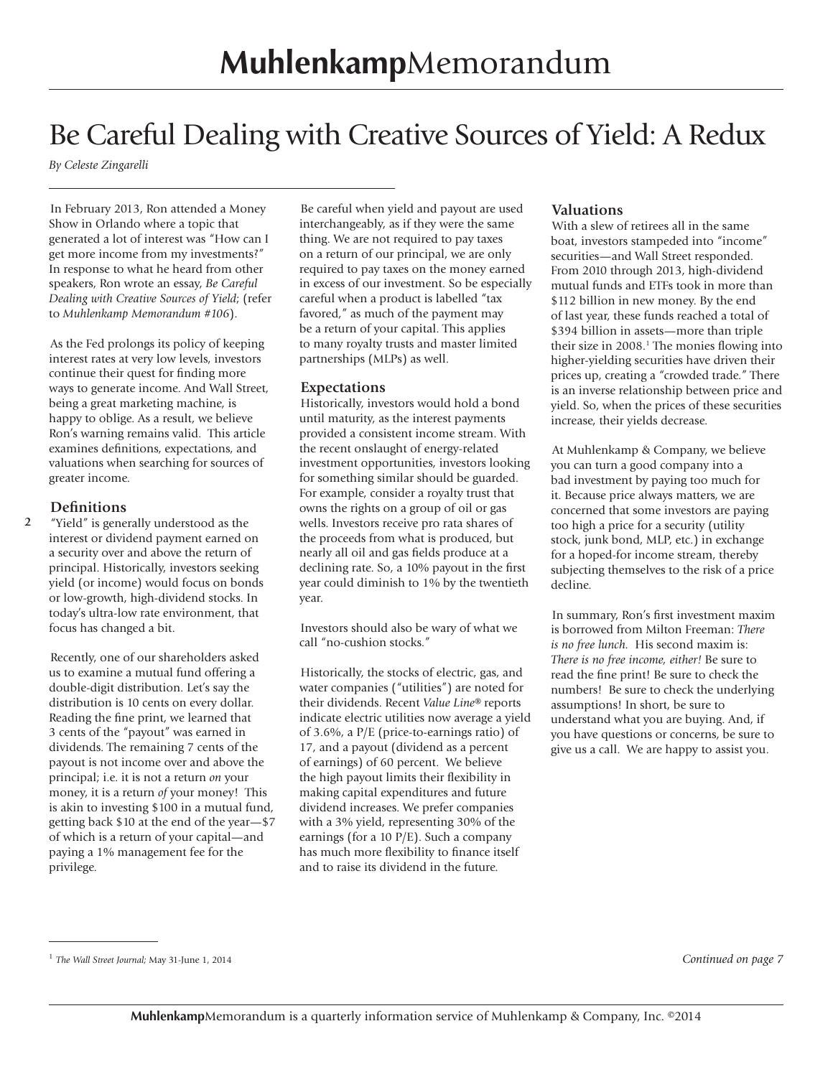## Be Careful Dealing with Creative Sources of Yield: A Redux

*By Celeste Zingarelli*

In February 2013, Ron attended a Money Show in Orlando where a topic that generated a lot of interest was "How can I get more income from my investments?" In response to what he heard from other speakers, Ron wrote an essay, *Be Careful Dealing with Creative Sources of Yield*; (refer to *Muhlenkamp Memorandum #106*).

As the Fed prolongs its policy of keeping interest rates at very low levels, investors continue their quest for finding more ways to generate income. And Wall Street, being a great marketing machine, is happy to oblige. As a result, we believe Ron's warning remains valid. This article examines definitions, expectations, and valuations when searching for sources of greater income.

#### **Definitions**

**2** "Yield" is generally understood as the interest or dividend payment earned on a security over and above the return of principal. Historically, investors seeking yield (or income) would focus on bonds or low-growth, high-dividend stocks. In today's ultra-low rate environment, that focus has changed a bit.

Recently, one of our shareholders asked us to examine a mutual fund offering a double-digit distribution. Let's say the distribution is 10 cents on every dollar. Reading the fine print, we learned that 3 cents of the "payout" was earned in dividends. The remaining 7 cents of the payout is not income over and above the principal; i.e. it is not a return *on* your money, it is a return *of* your money! This is akin to investing \$100 in a mutual fund, getting back \$10 at the end of the year—\$7 of which is a return of your capital—and paying a 1% management fee for the privilege.

Be careful when yield and payout are used interchangeably, as if they were the same thing. We are not required to pay taxes on a return of our principal, we are only required to pay taxes on the money earned in excess of our investment. So be especially careful when a product is labelled "tax favored," as much of the payment may be a return of your capital. This applies to many royalty trusts and master limited partnerships (MLPs) as well.

#### **Expectations**

Historically, investors would hold a bond until maturity, as the interest payments provided a consistent income stream. With the recent onslaught of energy-related investment opportunities, investors looking for something similar should be guarded. For example, consider a royalty trust that owns the rights on a group of oil or gas wells. Investors receive pro rata shares of the proceeds from what is produced, but nearly all oil and gas fields produce at a declining rate. So, a 10% payout in the first year could diminish to 1% by the twentieth year.

Investors should also be wary of what we call "no-cushion stocks."

Historically, the stocks of electric, gas, and water companies ("utilities") are noted for their dividends. Recent *Value Line®* reports indicate electric utilities now average a yield of 3.6%, a P/E (price-to-earnings ratio) of 17, and a payout (dividend as a percent of earnings) of 60 percent. We believe the high payout limits their flexibility in making capital expenditures and future dividend increases. We prefer companies with a 3% yield, representing 30% of the earnings (for a 10 P/E). Such a company has much more flexibility to finance itself and to raise its dividend in the future.

#### **Valuations**

With a slew of retirees all in the same boat, investors stampeded into "income" securities—and Wall Street responded. From 2010 through 2013, high-dividend mutual funds and ETFs took in more than \$112 billion in new money. By the end of last year, these funds reached a total of \$394 billion in assets—more than triple their size in 2008.<sup>1</sup> The monies flowing into higher-yielding securities have driven their prices up, creating a "crowded trade." There is an inverse relationship between price and yield. So, when the prices of these securities increase, their yields decrease.

At Muhlenkamp & Company, we believe you can turn a good company into a bad investment by paying too much for it. Because price always matters, we are concerned that some investors are paying too high a price for a security (utility stock, junk bond, MLP, etc.) in exchange for a hoped-for income stream, thereby subjecting themselves to the risk of a price decline.

In summary, Ron's first investment maxim is borrowed from Milton Freeman: *There is no free lunch.* His second maxim is: *There is no free income, either!* Be sure to read the fine print! Be sure to check the numbers! Be sure to check the underlying assumptions! In short, be sure to understand what you are buying. And, if you have questions or concerns, be sure to give us a call. We are happy to assist you.

<sup>1</sup> *The Wall Street Journal;* May 31-June 1, 2014 *Continued on page 7*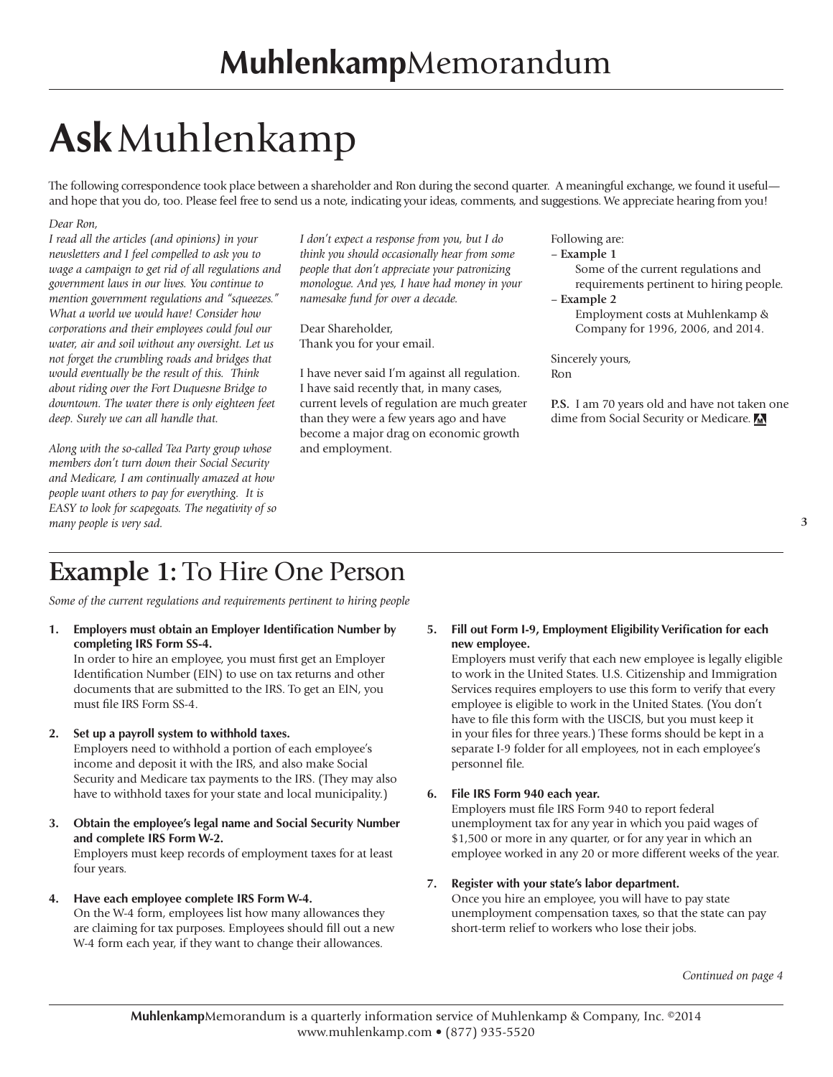## **Ask**Muhlenkamp

The following correspondence took place between a shareholder and Ron during the second quarter. A meaningful exchange, we found it useful and hope that you do, too. Please feel free to send us a note, indicating your ideas, comments, and suggestions. We appreciate hearing from you!

#### *Dear Ron,*

*I read all the articles (and opinions) in your newsletters and I feel compelled to ask you to wage a campaign to get rid of all regulations and government laws in our lives. You continue to mention government regulations and "squeezes." What a world we would have! Consider how corporations and their employees could foul our water, air and soil without any oversight. Let us not forget the crumbling roads and bridges that would eventually be the result of this. Think about riding over the Fort Duquesne Bridge to downtown. The water there is only eighteen feet deep. Surely we can all handle that.*

*Along with the so-called Tea Party group whose members don't turn down their Social Security and Medicare, I am continually amazed at how people want others to pay for everything. It is EASY to look for scapegoats. The negativity of so many people is very sad.*

*I don't expect a response from you, but I do think you should occasionally hear from some people that don't appreciate your patronizing monologue. And yes, I have had money in your namesake fund for over a decade.*

Dear Shareholder, Thank you for your email.

I have never said I'm against all regulation. I have said recently that, in many cases, current levels of regulation are much greater than they were a few years ago and have become a major drag on economic growth and employment.

Following are: – **Example 1**

> Some of the current regulations and requirements pertinent to hiring people.

– **Example 2**

Employment costs at Muhlenkamp & Company for 1996, 2006, and 2014.

Sincerely yours, Ron

**P.S.** I am 70 years old and have not taken one dime from Social Security or Medicare.

#### **3**

## **Example 1:** To Hire One Person

*Some of the current regulations and requirements pertinent to hiring people*

**1. Employers must obtain an Employer Identification Number by completing IRS Form SS-4.**

In order to hire an employee, you must first get an Employer Identification Number (EIN) to use on tax returns and other documents that are submitted to the IRS. To get an EIN, you must file IRS Form SS-4.

#### **2. Set up a payroll system to withhold taxes.**

Employers need to withhold a portion of each employee's income and deposit it with the IRS, and also make Social Security and Medicare tax payments to the IRS. (They may also have to withhold taxes for your state and local municipality.)

**3. Obtain the employee's legal name and Social Security Number and complete IRS Form W-2.** 

Employers must keep records of employment taxes for at least four years.

- **4. Have each employee complete IRS Form W-4.**
	- On the W-4 form, employees list how many allowances they are claiming for tax purposes. Employees should fill out a new W-4 form each year, if they want to change their allowances.

**5. Fill out Form I-9, Employment Eligibility Verification for each new employee.**

Employers must verify that each new employee is legally eligible to work in the United States. U.S. Citizenship and Immigration Services requires employers to use this form to verify that every employee is eligible to work in the United States. (You don't have to file this form with the USCIS, but you must keep it in your files for three years.) These forms should be kept in a separate I-9 folder for all employees, not in each employee's personnel file.

#### **6. File IRS Form 940 each year.**

Employers must file IRS Form 940 to report federal unemployment tax for any year in which you paid wages of \$1,500 or more in any quarter, or for any year in which an employee worked in any 20 or more different weeks of the year.

#### **7. Register with your state's labor department.**

Once you hire an employee, you will have to pay state unemployment compensation taxes, so that the state can pay short-term relief to workers who lose their jobs.

*Continued on page 4*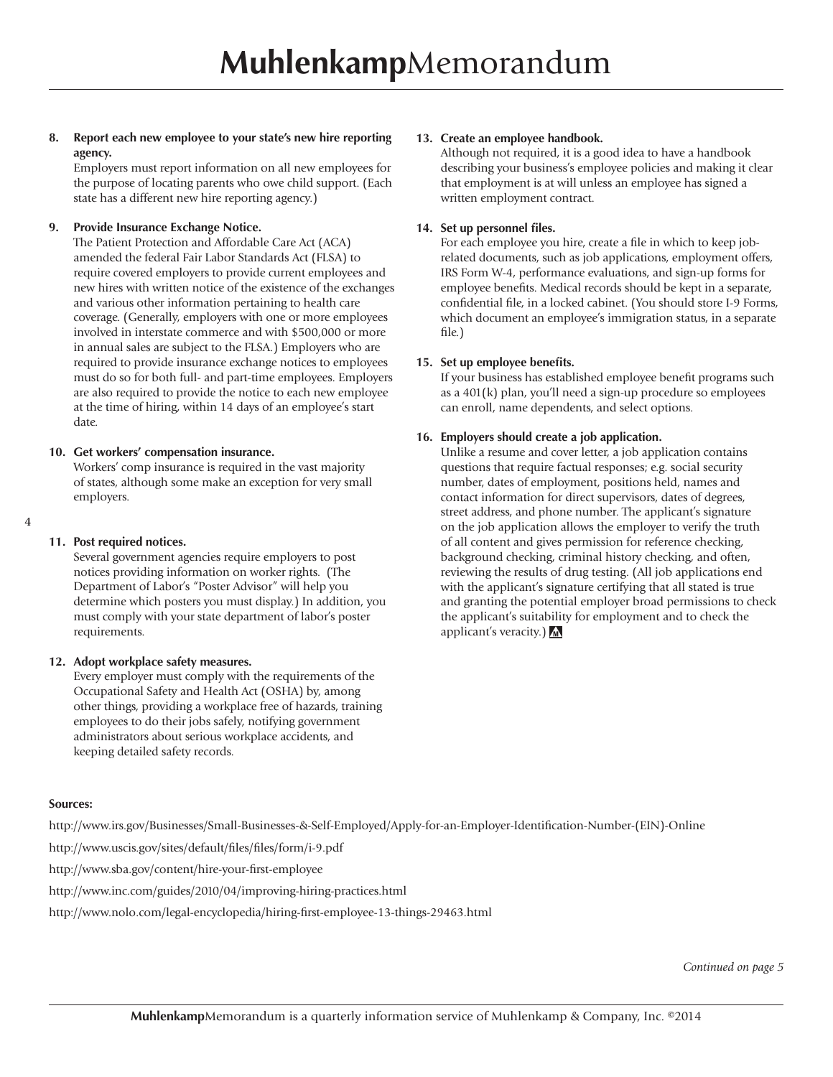**8. Report each new employee to your state's new hire reporting agency.**

Employers must report information on all new employees for the purpose of locating parents who owe child support. (Each state has a different new hire reporting agency.)

#### **9. Provide Insurance Exchange Notice.**

The Patient Protection and Affordable Care Act (ACA) amended the federal Fair Labor Standards Act (FLSA) to require covered employers to provide current employees and new hires with written notice of the existence of the exchanges and various other information pertaining to health care coverage. (Generally, employers with one or more employees involved in interstate commerce and with \$500,000 or more in annual sales are subject to the FLSA.) Employers who are required to provide insurance exchange notices to employees must do so for both full- and part-time employees. Employers are also required to provide the notice to each new employee at the time of hiring, within 14 days of an employee's start date.

#### **10. Get workers' compensation insurance.**

Workers' comp insurance is required in the vast majority of states, although some make an exception for very small employers.

#### **4**

#### **11. Post required notices.**

Several government agencies require employers to post notices providing information on worker rights. (The Department of Labor's "Poster Advisor" will help you determine which posters you must display.) In addition, you must comply with your state department of labor's poster requirements.

#### **12. Adopt workplace safety measures.**

Every employer must comply with the requirements of the Occupational Safety and Health Act (OSHA) by, among other things, providing a workplace free of hazards, training employees to do their jobs safely, notifying government administrators about serious workplace accidents, and keeping detailed safety records.

#### **13. Create an employee handbook.**

Although not required, it is a good idea to have a handbook describing your business's employee policies and making it clear that employment is at will unless an employee has signed a written employment contract.

#### **14. Set up personnel files.**

For each employee you hire, create a file in which to keep jobrelated documents, such as job applications, employment offers, IRS Form W-4, performance evaluations, and sign-up forms for employee benefits. Medical records should be kept in a separate, confidential file, in a locked cabinet. (You should store I-9 Forms, which document an employee's immigration status, in a separate file.)

#### **15. Set up employee benefits.**

If your business has established employee benefit programs such as a 401(k) plan, you'll need a sign-up procedure so employees can enroll, name dependents, and select options.

#### **16. Employers should create a job application.**

Unlike a resume and cover letter, a job application contains questions that require factual responses; e.g. social security number, dates of employment, positions held, names and contact information for direct supervisors, dates of degrees, street address, and phone number. The applicant's signature on the job application allows the employer to verify the truth of all content and gives permission for reference checking, background checking, criminal history checking, and often, reviewing the results of drug testing. (All job applications end with the applicant's signature certifying that all stated is true and granting the potential employer broad permissions to check the applicant's suitability for employment and to check the applicant's veracity.)

#### **Sources:**

http://www.irs.gov/Businesses/Small-Businesses-&-Self-Employed/Apply-for-an-Employer-Identification-Number-(EIN)-Online

http://www.uscis.gov/sites/default/files/files/form/i-9.pdf

http://www.sba.gov/content/hire-your-first-employee

#### http://www.inc.com/guides/2010/04/improving-hiring-practices.html

http://www.nolo.com/legal-encyclopedia/hiring-first-employee-13-things-29463.html

*Continued on page 5*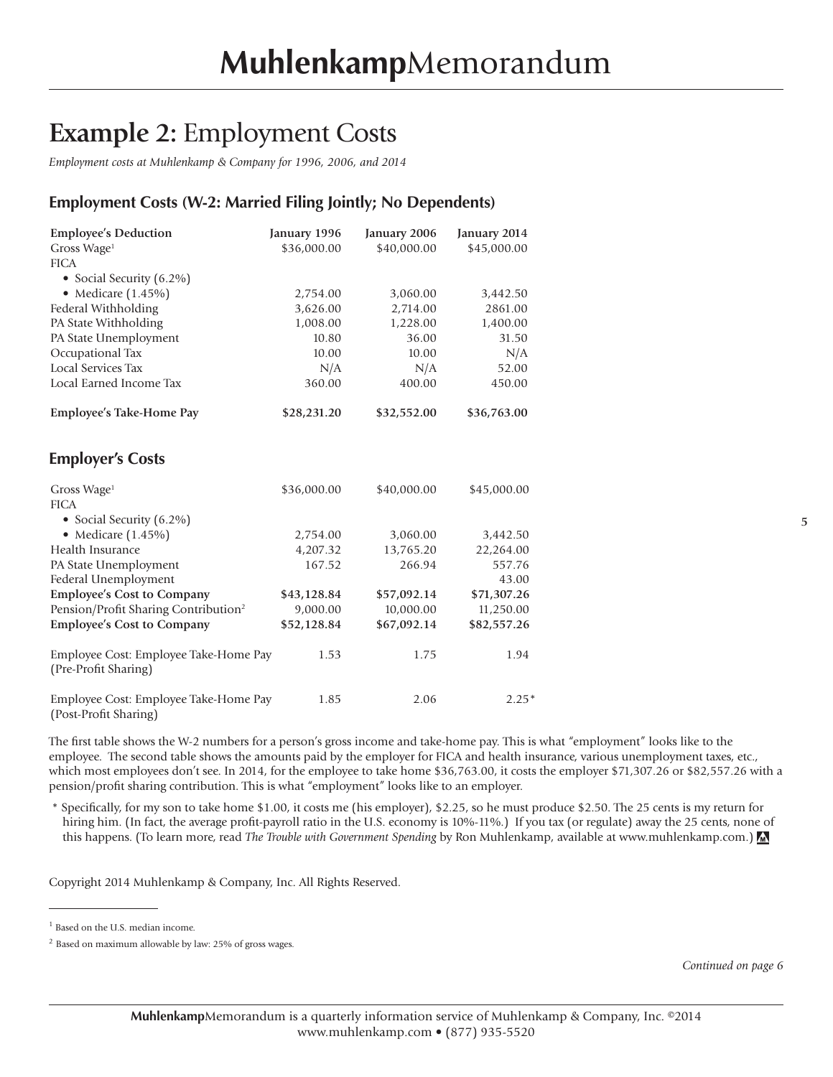### **Example 2:** Employment Costs

*Employment costs at Muhlenkamp & Company for 1996, 2006, and 2014*

#### **Employment Costs (W-2: Married Filing Jointly; No Dependents)**

| <b>Employee's Deduction</b>                                    | January 1996 | January 2006 | January 2014 |
|----------------------------------------------------------------|--------------|--------------|--------------|
| Gross Wage <sup>1</sup>                                        | \$36,000.00  | \$40,000.00  | \$45,000.00  |
| <b>FICA</b>                                                    |              |              |              |
| • Social Security (6.2%)                                       |              |              |              |
| • Medicare $(1.45\%)$                                          | 2,754.00     | 3,060.00     | 3,442.50     |
| Federal Withholding                                            | 3,626.00     | 2,714.00     | 2861.00      |
| PA State Withholding                                           | 1,008.00     | 1,228.00     | 1,400.00     |
| PA State Unemployment                                          | 10.80        | 36.00        | 31.50        |
| Occupational Tax                                               | 10.00        | 10.00        | N/A          |
| Local Services Tax                                             | N/A          | N/A          | 52.00        |
| Local Earned Income Tax                                        | 360.00       | 400.00       | 450.00       |
| <b>Employee's Take-Home Pay</b>                                | \$28,231.20  | \$32,552.00  | \$36,763.00  |
| <b>Employer's Costs</b>                                        |              |              |              |
| Gross Wage <sup>1</sup>                                        | \$36,000.00  | \$40,000.00  | \$45,000.00  |
| <b>FICA</b>                                                    |              |              |              |
| • Social Security (6.2%)                                       |              |              |              |
| • Medicare $(1.45\%)$                                          | 2,754.00     | 3,060.00     | 3,442.50     |
| Health Insurance                                               | 4,207.32     | 13,765.20    | 22,264.00    |
| PA State Unemployment                                          | 167.52       | 266.94       | 557.76       |
| Federal Unemployment                                           |              |              | 43.00        |
| <b>Employee's Cost to Company</b>                              | \$43,128.84  | \$57,092.14  | \$71,307.26  |
| Pension/Profit Sharing Contribution <sup>2</sup>               | 9,000.00     | 10,000.00    | 11,250.00    |
| <b>Employee's Cost to Company</b>                              | \$52,128.84  | \$67,092.14  | \$82,557.26  |
| Employee Cost: Employee Take-Home Pay<br>(Pre-Profit Sharing)  | 1.53         | 1.75         | 1.94         |
| Employee Cost: Employee Take-Home Pay<br>(Post-Profit Sharing) | 1.85         | 2.06         | $2.25*$      |

The first table shows the W-2 numbers for a person's gross income and take-home pay. This is what "employment" looks like to the employee. The second table shows the amounts paid by the employer for FICA and health insurance, various unemployment taxes, etc., which most employees don't see. In 2014, for the employee to take home \$36,763.00, it costs the employer \$71,307.26 or \$82,557.26 with a pension/profit sharing contribution. This is what "employment" looks like to an employer.

\* Specifically, for my son to take home \$1.00, it costs me (his employer), \$2.25, so he must produce \$2.50. The 25 cents is my return for hiring him. (In fact, the average profit-payroll ratio in the U.S. economy is 10%-11%.) If you tax (or regulate) away the 25 cents, none of this happens. (To learn more, read *The Trouble with Government Spending* by Ron Muhlenkamp, available at www.muhlenkamp.com.)

Copyright 2014 Muhlenkamp & Company, Inc. All Rights Reserved.

*Continued on page 6*

<sup>&</sup>lt;sup>1</sup> Based on the U.S. median income.

<sup>2</sup> Based on maximum allowable by law: 25% of gross wages.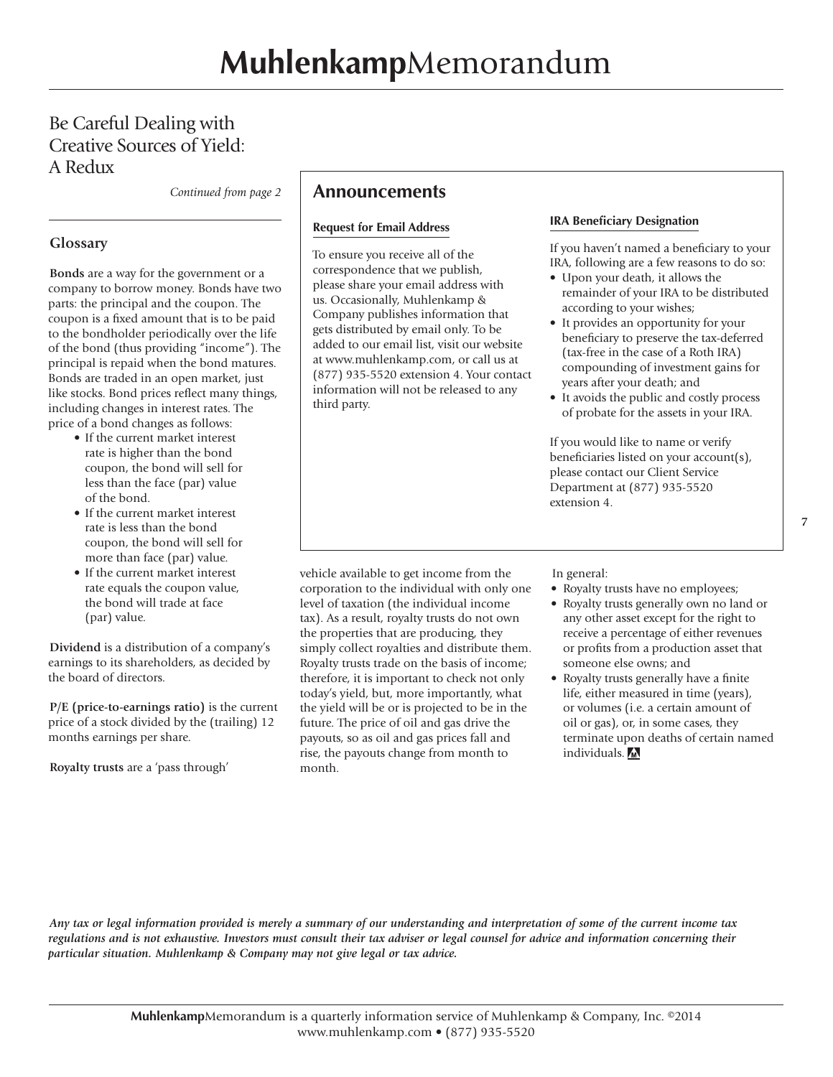#### Be Careful Dealing with Creative Sources of Yield: A Redux

*Continued from page 2*

#### **Glossary**

**Bonds** are a way for the government or a company to borrow money. Bonds have two parts: the principal and the coupon. The coupon is a fixed amount that is to be paid to the bondholder periodically over the life of the bond (thus providing "income"). The principal is repaid when the bond matures. Bonds are traded in an open market, just like stocks. Bond prices reflect many things, including changes in interest rates. The price of a bond changes as follows:

- If the current market interest rate is higher than the bond coupon, the bond will sell for less than the face (par) value of the bond.
- If the current market interest rate is less than the bond coupon, the bond will sell for more than face (par) value.
- If the current market interest rate equals the coupon value, the bond will trade at face (par) value.

**Dividend** is a distribution of a company's earnings to its shareholders, as decided by the board of directors.

**P/E (price-to-earnings ratio)** is the current price of a stock divided by the (trailing) 12 months earnings per share.

**Royalty trusts** are a 'pass through'

#### **Announcements**

#### **Request for Email Address**

To ensure you receive all of the correspondence that we publish, please share your email address with us. Occasionally, Muhlenkamp & Company publishes information that gets distributed by email only. To be added to our email list, visit our website at www.muhlenkamp.com, or call us at (877) 935-5520 extension 4. Your contact information will not be released to any third party.

#### **IRA Beneficiary Designation**

If you haven't named a beneficiary to your IRA, following are a few reasons to do so:

- Upon your death, it allows the remainder of your IRA to be distributed according to your wishes;
- It provides an opportunity for your beneficiary to preserve the tax-deferred (tax-free in the case of a Roth IRA) compounding of investment gains for years after your death; and
- It avoids the public and costly process of probate for the assets in your IRA.

If you would like to name or verify beneficiaries listed on your account(s), please contact our Client Service Department at (877) 935-5520 extension 4.

vehicle available to get income from the corporation to the individual with only one level of taxation (the individual income tax). As a result, royalty trusts do not own the properties that are producing, they simply collect royalties and distribute them. Royalty trusts trade on the basis of income; therefore, it is important to check not only today's yield, but, more importantly, what the yield will be or is projected to be in the future. The price of oil and gas drive the payouts, so as oil and gas prices fall and rise, the payouts change from month to month.

In general:

- Royalty trusts have no employees;
- Royalty trusts generally own no land or any other asset except for the right to receive a percentage of either revenues or profits from a production asset that someone else owns; and
- Royalty trusts generally have a finite life, either measured in time (years), or volumes (i.e. a certain amount of oil or gas), or, in some cases, they terminate upon deaths of certain named individuals.

*Any tax or legal information provided is merely a summary of our understanding and interpretation of some of the current income tax regulations and is not exhaustive. Investors must consult their tax adviser or legal counsel for advice and information concerning their particular situation. Muhlenkamp & Company may not give legal or tax advice.*